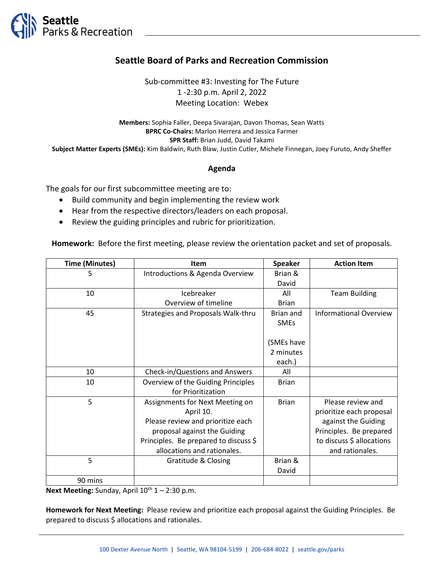

## **Seattle Board of Parks and Recreation Commission**

Sub-committee #3: Investing for The Future 1 -2:30 p.m. April 2, 2022 Meeting Location: Webex

**Members:** Sophia Faller, Deepa Sivarajan, Davon Thomas, Sean Watts **BPRC Co-Chairs:** Marlon Herrera and Jessica Farmer **SPR Staff:** Brian Judd, David Takami **Subject Matter Experts (SMEs):** Kim Baldwin, Ruth Blaw, Justin Cutler, Michele Finnegan, Joey Furuto, Andy Sheffer

## **Agenda**

The goals for our first subcommittee meeting are to:

- Build community and begin implementing the review work
- Hear from the respective directors/leaders on each proposal.
- Review the guiding principles and rubric for prioritization.

**Homework:** Before the first meeting, please review the orientation packet and set of proposals.

| <b>Time (Minutes)</b> | Item                                  | <b>Speaker</b> | <b>Action Item</b>            |
|-----------------------|---------------------------------------|----------------|-------------------------------|
| 5                     | Introductions & Agenda Overview       | Brian &        |                               |
|                       |                                       | David          |                               |
| 10                    | Icebreaker                            | All            | <b>Team Building</b>          |
|                       | Overview of timeline                  | <b>Brian</b>   |                               |
| 45                    | Strategies and Proposals Walk-thru    | Brian and      | <b>Informational Overview</b> |
|                       |                                       | <b>SMEs</b>    |                               |
|                       |                                       |                |                               |
|                       |                                       | (SMEs have     |                               |
|                       |                                       | 2 minutes      |                               |
|                       |                                       | each.)         |                               |
| 10                    | Check-in/Questions and Answers        | All            |                               |
| 10                    | Overview of the Guiding Principles    | <b>Brian</b>   |                               |
|                       | for Prioritization                    |                |                               |
| 5                     | Assignments for Next Meeting on       | <b>Brian</b>   | Please review and             |
|                       | April 10.                             |                | prioritize each proposal      |
|                       | Please review and prioritize each     |                | against the Guiding           |
|                       | proposal against the Guiding          |                | Principles. Be prepared       |
|                       | Principles. Be prepared to discuss \$ |                | to discuss \$ allocations     |
|                       | allocations and rationales.           |                | and rationales.               |
| 5                     | Gratitude & Closing                   | Brian &        |                               |
|                       |                                       | David          |                               |
| 90 mins               |                                       |                |                               |

**Next Meeting:** Sunday, April  $10^{th}$   $1 - 2:30$  p.m.

**Homework for Next Meeting:** Please review and prioritize each proposal against the Guiding Principles. Be prepared to discuss \$ allocations and rationales.